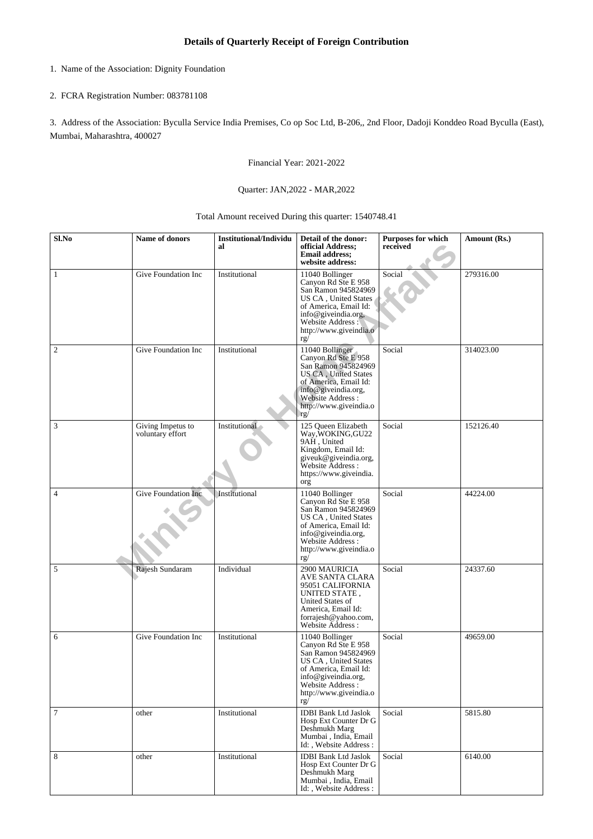- 1. Name of the Association: Dignity Foundation
- 2. FCRA Registration Number: 083781108

3. Address of the Association: Byculla Service India Premises, Co op Soc Ltd, B-206,, 2nd Floor, Dadoji Konddeo Road Byculla (East), Mumbai, Maharashtra, 400027

Financial Year: 2021-2022

## Quarter: JAN,2022 - MAR,2022

Total Amount received During this quarter: 1540748.41

| Sl.No          | Name of donors                        | <b>Institutional/Individu</b><br>al | Detail of the donor:<br>official Address;<br><b>Email address;</b><br>website address:                                                                                                             | <b>Purposes for which</b><br>received | Amount (Rs.) |
|----------------|---------------------------------------|-------------------------------------|----------------------------------------------------------------------------------------------------------------------------------------------------------------------------------------------------|---------------------------------------|--------------|
| 1              | Give Foundation Inc                   | Institutional                       | 11040 Bollinger<br>Canyon Rd Ste E 958<br>San Ramon 945824969<br>US CA, United States<br>of America, Email Id:<br>info@giveindia.org,<br>Website Address:<br>http://www.giveindia.o<br>rg/         | Social                                | 279316.00    |
| 2              | Give Foundation Inc                   | Institutional                       | 11040 Bollinger<br>Canyon Rd Ste E 958<br>San Ramon 945824969<br><b>US CA</b> , United States<br>of America, Email Id:<br>info@giveindia.org,<br>Website Address:<br>http://www.giveindia.o<br>rg/ | Social                                | 314023.00    |
| $\mathfrak{Z}$ | Giving Impetus to<br>voluntary effort | Institutional                       | 125 Oueen Elizabeth<br>Way, WOKING, GU22<br>9AH, United<br>Kingdom, Email Id:<br>giveuk@giveindia.org,<br>Website Address:<br>https://www.giveindia.<br>org                                        | Social                                | 152126.40    |
| $\overline{4}$ | Give Foundation Inc.                  | Institutional                       | 11040 Bollinger<br>Canyon Rd Ste E 958<br>San Ramon 945824969<br>US CA, United States<br>of America, Email Id:<br>info@giveindia.org,<br>Website Address:<br>http://www.giveindia.o<br>rg/         | Social                                | 44224.00     |
| 5              | Rajesh Sundaram                       | Individual                          | 2900 MAURICIA<br>AVE SANTA CLARA<br>95051 CALIFORNIA<br>UNITED STATE,<br>United States of<br>America, Email Id:<br>forrajesh@yahoo.com,<br>Website Address:                                        | Social                                | 24337.60     |
| 6              | Give Foundation Inc                   | Institutional                       | 11040 Bollinger<br>Canyon Rd Ste E 958<br>San Ramon 945824969<br>US CA, United States<br>of America, Email Id:<br>info@giveindia.org,<br>Website Address:<br>http://www.giveindia.o<br>rg/         | Social                                | 49659.00     |
| $\tau$         | other                                 | Institutional                       | <b>IDBI Bank Ltd Jaslok</b><br>Hosp Ext Counter Dr G<br>Deshmukh Marg<br>Mumbai, India, Email<br>Id:, Website Address:                                                                             | Social                                | 5815.80      |
| 8              | other                                 | Institutional                       | <b>IDBI Bank Ltd Jaslok</b><br>Hosp Ext Counter Dr G<br>Deshmukh Marg<br>Mumbai, India, Email<br>Id: , Website Address:                                                                            | Social                                | 6140.00      |